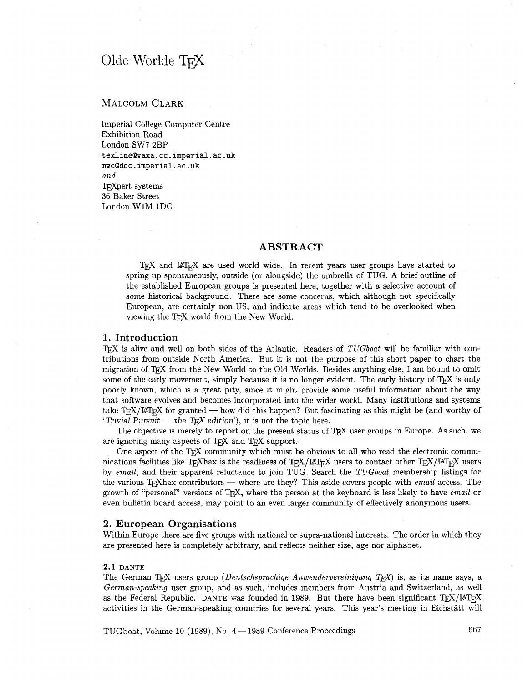# Olde Worlde TFX

# MALCOLM CLARK

Imperial College Computer Centre Exhibition Road London SW7 2BP **texlineQvaxa.cc.imperial.ac.uk mwcQdoc.imperial.ac.uk**  and TFXpert systems 36 Baker Street London W1M IDG

# **ABSTRACT**

TEX and IATEX are used world wide. In recent years user groups have started to spring up spontaneously, outside (or alongside) the umbrella of TUG. **A** brief outline of the established European groups is presented here, together with a selective account of some historical background. There are some concerns, which although not specifically European, are certainly non-US, and indicate areas which tend to be overlooked when viewing the TFX world from the New World.

# **1. Introduction**

T<sub>F</sub>X is alive and well on both sides of the Atlantic. Readers of  $TUGboat$  will be familiar with contributions from outside North America. But it is not the purpose of this short paper to chart the migration of T<sub>F</sub>X from the New World to the Old Worlds. Besides anything else, I am bound to omit some of the early movement, simply because it is no longer evident. The early history of T<sub>E</sub>X is only poorly known, which is a great pity, since it might provide some useful information about the way that software evolves and becomes incorporated into the wider world. Many institutions and systems poorly known, which is a great pity, since it might provide some useful information about the way<br>that software evolves and becomes incorporated into the wider world. Many institutions and systems<br>take TEX/LATEX for grante that solvare evolves and becomes incorporated mto the wide<br>  $T_{\text{EX}}/T_{\text{EX}}$  for granted — how did this happen? But fast<br>  $T_{\text{IV}}$  The chiesting is money to graph on the process of the refere.

The objective is merely to report on the present status of T<sub>R</sub>X user groups in Europe. As such, we are ignoring many aspects of TEX and TEX support.

One aspect of the TEX community which must be obvious to all who read the electronic communications facilities like T<sub>F</sub>Xhax is the readiness of T<sub>F</sub>X/LAT<sub>E</sub>X users to contact other T<sub>F</sub>X/LAT<sub>E</sub>X users by email, and their apparent reluctance to join TUG. Search the TUGboat membership listings for meations facilities like T<sub>E</sub>Xhax is the readiness of T<sub>EX</sub>/BT<sub>EX</sub> users to contact other T<sub>EX</sub>/BT<sub>E</sub>X users<br>by *email*, and their apparent reluctance to join TUG. Search the *TUGboat* membership listings for<br>the various growth of "personal" versions of  $T_F X$ , where the person at the keyboard is less likely to have email or even bulletin board access, may point to an even larger community of effectively anonymous users.

#### **2. European Organisations**

Within Europe there are five groups with national or supra-national interests. The order in which they are presented here is completely arbitrary, and reflects neither size, age nor alphabet.

#### **2.1 DANTE**

The German T<sub>F</sub>X users group (*Deutschsprachige Anwendervereinigung T<sub>F</sub>X*) is, as its name says, a German-speaking user group, and as such, includes members fiom Austria and Switzerland, as well as the Federal Republic. DANTE was founded in 1989. But there have been significant TEX/I&T<sub>EX</sub> activities in the German-speaking countries for several years. This year's meeting in Eichstatt will

TUGboat, Volume 10 (1989), No.  $4-1989$  Conference Proceedings 667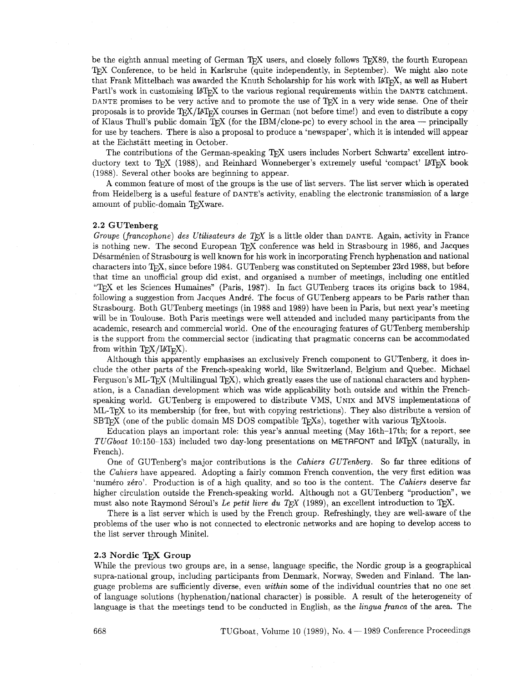be the eighth annual meeting of German T<sub>EX</sub> users, and closely follows T<sub>E</sub>X89, the fourth European TFX Conference, to be held in Karlsruhe (quite independently, in September). We might also note that Frank Mittelbach was awarded the Knuth Scholarship for his work with IAT<sub>F</sub>X, as well as Hubert Partl's work in customising IAT<sub>R</sub>X to the various regional requirements within the DANTE catchment. DANTE promises to be very active and to promote the use of T<sub>E</sub>X in a very wide sense. One of their proposals is to provide  $T_{\rm F}X/\mu T_{\rm F}X$  courses in German (not before time!) and even to distribute a copy of Klaus Thull's public domain T<sub>R</sub>X (for the IBM/clone-pc) to every school in the area - principally for use by teachers. There is also a proposal to produce a 'newspaper', which it is intended will appear at the Eichstätt meeting in October.

The contributions of the German-speaking T<sub>F</sub>X users includes Norbert Schwartz' excellent introductory text to T<sub>E</sub>X (1988), and Reinhard Wonneberger's extremely useful 'compact' LAT<sub>E</sub>X book (1988). Several other books are beginning to appear.

A common feature of most of the groups is the use of list servers. The list server which is operated from Heidelberg is a useful feature of DANTE'S activity, enabling the electronic transmission of a large amount of public-domain TEXware.

#### 2.2 GUTenberg

*Groupe (francophone) des Utilisateurs de TEX* is a little older than DANTE. Again, activity in France is nothing new. The second European TEX conference was held in Strasbourg in 1986, and Jacques Désarménien of Strasbourg is well known for his work in incorporating French hyphenation and national characters into T<sub>F</sub>X, since before 1984. GUTenberg was constituted on September 23rd 1988, but before that time an unofficial group did exist, and organised a number of meetings, including one entitled ''W et les Sciences Humaines" (Paris, 1987). In fact GUTenberg traces its origins back to 1984, following a suggestion from Jacques André. The focus of GUTenberg appears to be Paris rather than Strasbourg. Both GUTenberg meetings (in 1988 and 1989) have been in Paris, but next year's meeting will be in Toulouse. Both Paris meetings were well attended and included many participants from the academic, research and commercial world. One of the encouraging features of GUTenberg membership is the support from the commercial sector (indicating that pragmatic concerns can be accommodated from within  $T_{F}X/UT_{F}X$ ).

Although this apparently emphasises an exclusively French component to GUTenberg, it does include the other parts of the French-speaking world, like Switzerland, Belgium and Quebec. Michael Ferguson's ML-T<sub>E</sub>X (Multilingual T<sub>E</sub>X), which greatly eases the use of national characters and hyphenation, is a Canadian development which was wide applicability both outside and within the Frenchspeaking world. GUTenberg is empowered to distribute VMS, UNIX and MVS implementations of ML-T<sub>R</sub>X to its membership (for free, but with copying restrictions). They also distribute a version of  $SBT$ <sub>FX</sub> (one of the public domain MS DOS compatible T<sub>F</sub>Xs), together with various T<sub>F</sub>Xtools.

Education plays an important role: this year's annual meeting (May 16th-17th; for a report, see *TUGboat* 10:150-153) included two day-long presentations on METRFONT and UTEX (naturally, in French).

One of GUTenberg's major contributions is the *Cahiers GUTenberg.* So far three editions of the *Cahiers* have appeared. Adopting a fairly common French convention, the very first edition was 'numéro zéro'. Production is of a high quality, and so too is the content. The *Cahiers* deserve far higher circulation outside the French-speaking world. Although not a GUTenberg "production", we must also note Raymond Séroul's *Le petit livre du TFX* (1989), an excellent introduction to TFX.

There is a list server which is used by the French group. Refreshingly, they are well-aware of the problems of the user who is not connected to electronic networks and are hoping to develop access to the list server through Minitel.

#### 2.3 Nordic TFX Group

While the previous two groups are, in a sense, language specific, the Nordic group is a geographical supra-national group, including participants from Denmark, Norway, Sweden and Finland. The language problems are sufficiently diverse, even *within* some of the individual countries that no one set of language solutions (hyphenation/national character) is possible. A result of the heterogeneity of language is that the meetings tend to be conducted in English, as the *lingua franca* of the area. The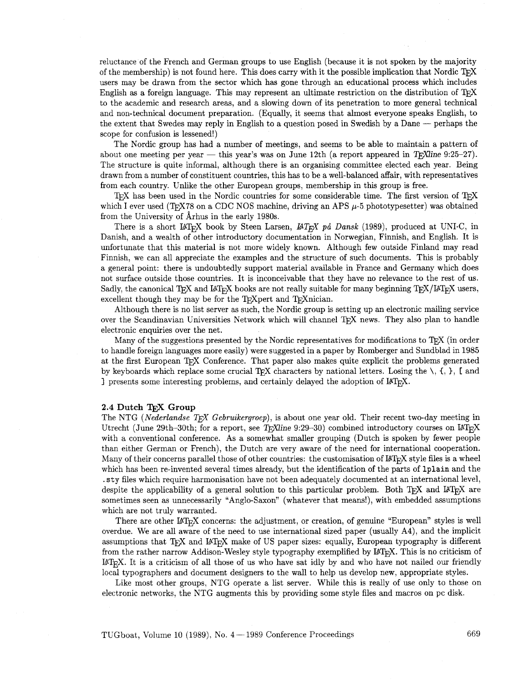reluctance of the French and German groups to use English (because it is not spoken by the majority of the membership) is not found here. This does carry with it the possible implication that Nordic  $T\not\!\!E X$ users may be drawn from the sector which has gone through an educational process which includes English as a foreign language. This may represent an ultimate restriction on the distribution of  $T_{\rm F}X$ to the academic and research areas, and a slowing down of its penetration to more general technical and non-technical document preparation. (Equally, it seems that almost everyone speaks English, to the extent that Swedes may reply in English to a question posed in Swedish by a Dane — perhaps the extent that Swedes may r scope for confusion is lessened!)

The Nordic group has had a number of meetings, and seems to be able to maintain a pattern of about one meeting per year — this year's was on June 12th (a report appeared in T<sub>E</sub>XIine 9:25-27). The structure is quite informal, although there is an organising committee elected each year. Being drawn from a number of constituent countries, this has to be a well-balanced affair, with representatives from each country. Unlike the other European groups, membership in this group is free.

T<sub>F</sub>X has been used in the Nordic countries for some considerable time. The first version of T<sub>F</sub>X which I ever used (TFX78 on a CDC NOS machine, driving an APS  $\mu$ -5 phototypesetter) was obtained from the University of Arhus in the early 1980s.

There is a short  $\text{LATEX}$  book by Steen Larsen,  $\text{LATEX}$  på Dansk (1989), produced at UNIC, in Danish, and a wealth of other introductory documentation in Norwegian, Finnish, and English. It is unfortunate that this material is not more widely known. Although few outside Finland may read Finnish, we can all appreciate the examples and the structure of such documents. This is probably a general point: there is undoubtedly support material available in France and Germany which does not surface outside those countries. It is inconceivable that they have no relevance to the rest of us. Sadly, the canonical TFX and LAT<sub>F</sub>X books are not really suitable for many beginning TFX/LAT<sub>F</sub>X users, excellent though they may be for the TEXpert and TEXnician.

Although there is no list server as such, the Nordic group is setting up an electronic mailing service over the Scandinavian Universities Network which will channel T<sub>F</sub>X news. They also plan to handle electronic enquiries over the net.

Many of the suggestions presented by the Nordic representatives for modifications to  $T_{\rm F}X$  (in order to handle foreign languages more easily) were suggested in a paper by Romberger and Sundblad in 1985 at the first European TEX Conference. That paper also makes quite explicit the problems generated by keyboards which replace some crucial T<sub>F</sub>X characters by national letters. Losing the  $\setminus$ ,  $\setminus$ ,  $\setminus$ , I: and I presents some interesting problems, and certainly delayed the adoption of  $\mu_{\text{TR}}$ .

#### 2.4 **Dutch Group**

The NTG (Nederlandse TEX Gebruikergroep), is about one year old. Their recent two-day meeting in Utrecht (June 29th-30th; for a report, see T<sub>E</sub>Xline 9:29-30) combined introductory courses on  $M_{\text{F}}X$ with a conventional conference. As a somewhat smaller grouping (Dutch is spoken by fewer people than either German or French), the Dutch are very aware of the need for international cooperation. Many of their concerns parallel those of other countries: the customisation of  $\mu_{Tr} X$  style files is a wheel which has been re-invented several times already, but the identification of the parts of lplain and the .sty files which require harmonisation have not been adequately documented at an international level, despite the applicability of a general solution to this particular problem. Both T<sub>E</sub>X and L<sup>A</sup>T<sub>E</sub>X are sometimes seen as unnecessarily "Anglo-Saxon" (whatever that means!), with embedded assumptions which are not truly warranted.

There are other  $\mathbb{I}\llbracket\mathcal{F}_K\rrbracket$  concerns: the adjustment, or creation, of genuine "European" styles is well overdue. We are all aware of the need to use international sized paper (usually A4), and the implicit which are not truly warranted.<br>
There are other  $LAT$ <sub>E</sub>X concerns: the adjustment, or creation, of genuine "European" styles is well<br>
overdue. We are all aware of the need to use international sized paper (usually A4), an from the rather narrow Addison-Wesley style typography exemplified by LAT<sub>E</sub>X. This is no criticism of LATEX. It is a criticism of all those of us who have sat idly by and who have not nailed our friendly local typographers and document designers to the wall to help us develop new, appropriate styles.

Like most other groups, NTG operate a list server. While this is really of use only to those on electronic networks, the NTG augments this by providing some style files and macros on pc disk.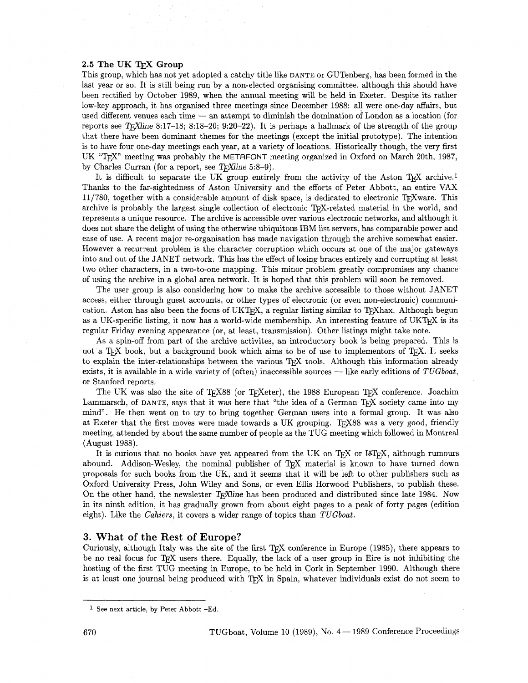#### **2.5 The UK TEX Group**

This group, which has not yet adopted a catchy title like DANTE or GUTenberg, has been formed in the last year or so. It is still being run by a non-elected organising committee, although this should have been rectified by October 1989, when the annual meeting will be held in Exeter. Despite its rather low-key approach, it has organised three meetings since December 1988: all were one-day affairs, but been rectined by October 1989, when the annual meeting will be field in Exeter. Despite its rather<br>low-key approach, it has organised three meetings since December 1988: all were one-day affairs, but<br>used different venues reports see T<sub>E</sub>Xline 8:17-18; 8:18-20; 9:20-22). It is perhaps a hallmark of the strength of the group that there have been dominant themes for the meetings (except the initial prototype). The intention is to have four one-day meetings each year, at a variety of locations. Historically though, the very first UK "T<sub>E</sub>X" meeting was probably the METAFONT meeting organized in Oxford on March 20th, 1987, by Charles Curran (for a report, see T<sub>F</sub>XIine 5:8-9).

It is difficult to separate the UK group entirely from the activity of the Aston T<sub>F</sub>X archive.<sup>1</sup> Thanks to the far-sightedness of Aston University and the efforts of Peter Abbott, an entire VAX  $11/780$ , together with a considerable amount of disk space, is dedicated to electronic T<sub>F</sub>Xware. This archive is probably the largest single collection of electronic TEX-related material in the world, and represents a unique resource. The archive is accessible over various electronic networks, and although it does not share the delight of using the otherwise ubiquitous IBM list servers, has comparable power and ease of use. **A** recent major re-organisation has made navigation through the archive somewhat easier. However a recurrent problem is the character corruption which occurs at one of the major gateways into and out of the JANET network. This has the effect of losing braces entirely and corrupting at least two other characters, in a two-to-one mapping. This minor problem greatly compromises any chance of using the archive in a global area network. It is hoped that this problem will soon be removed.

The user group is also considering how to make the archive accessible to those without JANET access, either through guest accounts, or other types of electronic (or even non-electronic) communication. Aston has also been the focus of  $UKTeX$ , a regular listing similar to T<sub>E</sub>Xhax. Although begun as a UK-specific listing, it now has a world-wide membership. An interesting feature of UKT<sub>F</sub>X is its regular Friday evening appearance (or, at least, transmission). Other listings might take note.

As a spin-off from part of the archive activites, an introductory book is being prepared. This is not a TEX book, but a background book which aims to be of use to implementors of TEX. It seeks to explain the inter-relationships between the various T<sub>E</sub>X tools. Although this information already not a T<sub>E</sub>X book, but a background book which aims to be of use to implementors of T<sub>E</sub>X. It seeks<br>to explain the inter-relationships between the various T<sub>E</sub>X tools. Although this information already<br>exists, it is availa or Stanford reports.

The UK was also the site of T<sub>F</sub>X88 (or T<sub>F</sub>Xeter), the 1988 European T<sub>F</sub>X conference. Joachim Lammarsch, of DANTE, says that it was here that "the idea of a German TpX society came into my mind". He then went on to try to bring together German users into a formal group. It was also at Exeter that the first moves were made towards a UK grouping. T<sub>F</sub>X88 was a very good, friendly meeting, attended by about the same number of people as the TUG meeting which followed in Montreal (August 1988).

It is curious that no books have yet appeared from the UK on T)\$ or UT\*, although rumours abound. Addison-Wesley, the nominal publisher of TFX material is known to have turned down proposals for such books from the UK, and it seems that it will be left to other publishers such as Oxford University Press, John Wiley and Sons, or even Ellis Horwood Publishers, to publish these. On the other hand, the newsletter  $T_F$ Xine has been produced and distributed since late 1984. Now in its ninth edition, it has gradually grown from about eight pages to a peak of forty pages (edition eight). Like the Cahiers, it covers a wider range of topics than TUGboat.

# 3. What of the Rest of Europe?

Curiously, although Italy was the site of the first T<sub>R</sub>X conference in Europe (1985), there appears to be no real focus for TFX users there. Equally, the lack of a user group in Eire is not inhibiting the hosting of the first TUG meeting in Europe, to be held in Cork in September 1990. Although there is at least one journal being produced with T<sub>E</sub>X in Spain, whatever individuals exist do not seem to

<sup>&</sup>lt;sup>1</sup> See next article, by Peter Abbott -Ed.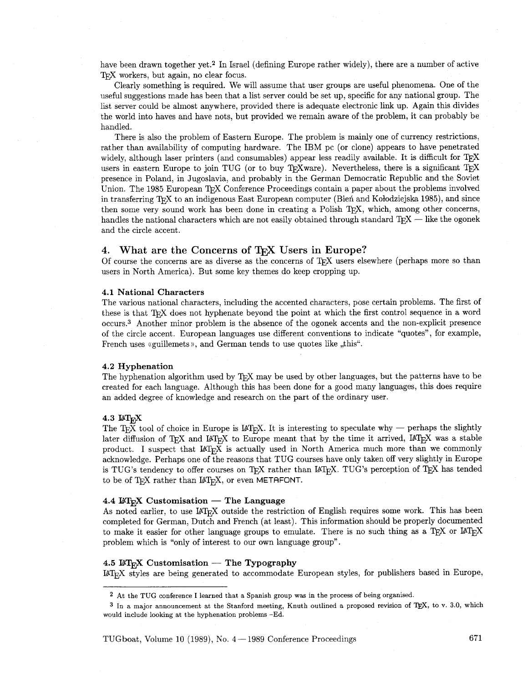have been drawn together yet.<sup>2</sup> In Israel (defining Europe rather widely), there are a number of active TEX workers, but again, no clear focus.

Clearly something is required. We will assume that user groups are useful phenomena. One of the useful suggestions made has been that a list server could be set up, specific for any national group. The list server could be almost anywhere, provided there is adequate electronic link up. Again this divides the world into haves and have nots, but provided we remain aware of the problem, it can probably be handled.

There is also the problem of Eastern Europe. The problem is mainly one of currency restrictions, rather than availability of computing hardware. The IBM pc (or clone) appears to have penetrated widely, although laser printers (and consumables) appear less readily available. It is difficult for TFX users in eastern Europe to join TUG (or to buy T<sub>E</sub>Xware). Nevertheless, there is a significant T<sub>E</sub>X presence in Poland, in Jugoslavia, and probably in the German Democratic Republic and the Soviet Union. The 1985 European TEX Conference Proceedings contain a paper about the problems involved in transferring T<sub>E</sub>X to an indigenous East European computer (Bien and Kołodziejska 1985), and since then some very sound work has been done in creating a Polish TFJ, which, among other concerns, handles the national characters which are not easily obtained through standard T<sub>F</sub>X  $-$  like the ogonek and the circle accent.

# 4. What are the Concerns of T<sub>E</sub>X Users in Europe?

Of course the concerns are as diverse as the concerns of T<sub>F</sub>X users elsewhere (perhaps more so than users in North America). But some key themes do keep cropping up.

#### 4.1 National Characters

The various national characters, including the accented characters, pose certain problems. The first of these is that T<sub>F</sub>X does not hyphenate beyond the point at which the first control sequence in a word occurs.<sup>3</sup> Another minor problem is the absence of the ogonek accents and the non-explicit presence of the circle accent. European languages use different conventions to indicate "quotes", for example, French uses «guillemets», and German tends to use quotes like "this".

#### 4.2 Hyphenation

The hyphenation algorithm used by T<sub>F</sub>X may be used by other languages, but the patterns have to be created for each language. Although this has been done for a good many languages, this does require an added degree of knowledge and research on the part of the ordinary user.

#### 4.3  $\mu$ T<sub>E</sub>X

The T<sub>E</sub>X tool of choice in Europe is LAT<sub>E</sub>X. It is interesting to speculate why - perhaps the slightly later diffusion of TEX and LATEX to Europe meant that by the time it arrived, LATEX was a stable product. I suspect that UTEX is actually used in North America much more than we commonly acknowledge. Perhaps one of the reasons that TUG courses have only taken off very slightly in Europe is TUG's tendency to offer courses on TEX rather than LATEX. TUG's perception of TEX has tended to be of TEX rather than IATEX, or even METAFONT.

#### 4.4  $\mathbb{F}_F X$  Customisation — The Language

As noted earlier, to use LAT<sub>F</sub>X outside the restriction of English requires some work. This has been completed for German, Dutch and French (at least). This information should be properly documented to make it easier for other language groups to emulate. There is no such thing as a TEX or IATEX problem which is "only of interest to our own language group".

#### 4.5  $\mathbb{F}$ <sub>F</sub>X Customisation - The Typography

BTEX styles are being generated to accommodate European styles, for publishers based in Europe,

TUGboat, Volume 10 (1989), No. 4 - 1989 Conference Proceedings **671** 

At the TUG conference I learned that a Spanish group was in the process of being organised.

In a major announcement at the Stanford meeting, Knuth outlined a proposed revision of TEX, to **v. 3.0,** which would include looking at the hyphenation problems -Ed.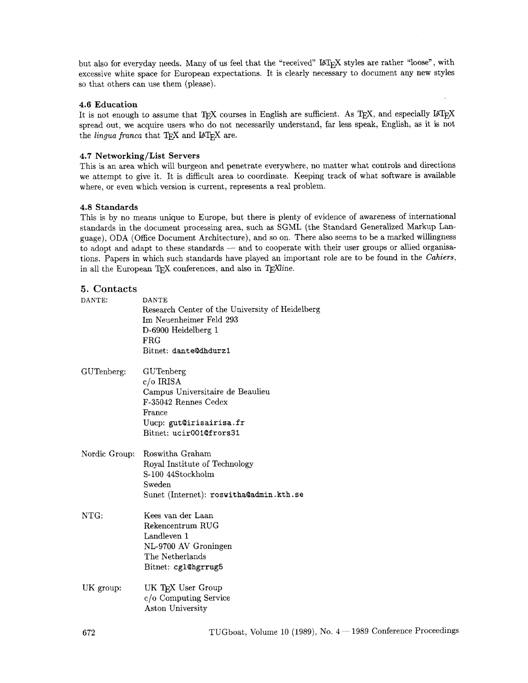but also for everyday needs. Many of us feel that the "received" IAT<sub>E</sub>X styles are rather "loose", with excessive white space for European expectations. It is clearly necessary to document any new styles so that others can use them (please).

#### 4.6 Education

It is not enough to assume that TEX courses in English are sufficient. As TEX, and especially  $\mu$ TEX spread out, we acquire users who do not necessarily understand, far less speak, English, **as** it is not the *lingua franca* that  $T_F X$  and  $IAT_F X$  are.

#### 4.7 Networking/List Servers

This is an area which will burgeon and penetrate everywhere, no matter what controls and directions we attempt to give it. It is difficult area to coordinate. Keeping track of what software is available where, or even which version is current, represents a real problem.

#### 4.8 Standards

This is by no means unique to Europe, but there is plenty of evidence of awareness of international standards in the document processing area, such as SGML (the Standard Generalized Markup Language), ODA (Office Document Architecture), and so on. There also seems to be a marked willingness trandards in the document processing area, such as SGML (the Standard Generalized Markup Language), ODA (Office Document Architecture), and so on. There also seems to be a marked willingness to adopt and adapt to these sta tions. Papers in which such standards have played an important role are to be found in the Cahiers, in all the European TFX conferences, and also in  $T_F X$  ine.

# **5. Contacts**

| DANTE:        | <b>DANTE</b><br>Research Center of the University of Heidelberg<br>Im Neuenheimer Feld 293<br>D-6900 Heidelberg 1<br>FRG<br>Bitnet: dante@dhdurz1    |
|---------------|------------------------------------------------------------------------------------------------------------------------------------------------------|
| GUTenberg:    | GUTenberg<br>$c/o$ IRISA<br>Campus Universitaire de Beaulieu<br>F-35042 Rennes Cedex<br>France<br>Uucp: gut@irisairisa.fr<br>Bitnet: ucir001@frors31 |
| Nordic Group: | Roswitha Graham<br>Royal Institute of Technology<br>S-100 44Stockholm<br>Sweden<br>Sunet (Internet): roswitha@admin.kth.se                           |
| NTG:          | Kees van der Laan<br>Rekencentrum RUG<br>Landleven 1<br>NL-9700 AV Groningen<br>The Netherlands<br>Bitnet: cgl@hgrrug5                               |
| UK group:     | UK TFX User Group<br>c/o Computing Service<br>Aston University                                                                                       |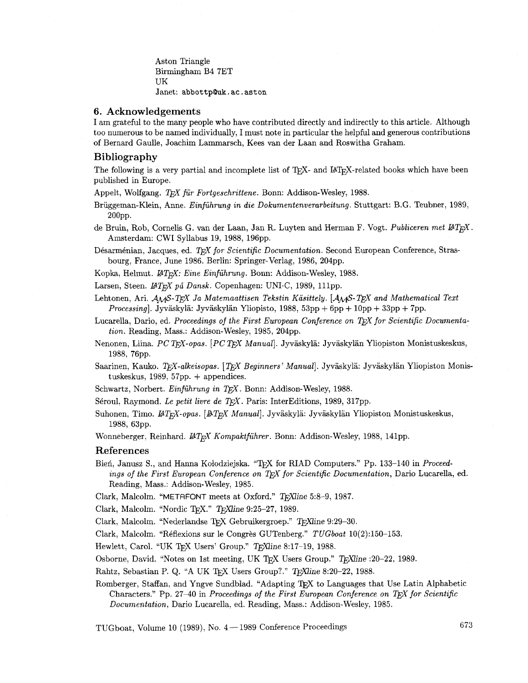Aston Triangle Birmingham B4 7ET UK Janet: abbottp**Quk.** ac. aston

#### **6. Acknowledgements**

I am grateful to the many people who have contributed directly and indirectly to this article. Although too numerous to be named individually, I must note in particular the helpful and generous contributions of Bernard Gaulle, Joachim Lamrnarsch, Kees van der Laan and Roswitha Graham.

# **Bibliography**

The following is a very partial and incomplete list of TEX- and IAT<sub>EX</sub>-related books which have been published in Europe.

Appelt, Wolfgang. *TFX für Fortgeschrittene*. Bonn: Addison-Wesley, 1988.

Briiggeman-Klein, Anne. *Einfuhrung in die Dokumentenverarbeitung* . Stuttgart: B.G. Teubner, 1989, 200pp.

de Bruin, Rob, Cornelis G. van der Laan, Jan R. Luyten and Herman F. Vogt. *Publiceren met LAT<sub>Fi</sub>X*. Amsterdam: CWI Syllabus 19, 1988, 196pp.

Désarménian, Jacques, ed. T<sub>F</sub>X for Scientific Documentation. Second European Conference, Strasbourg, France, June 1986. Berlin: Springer-Verlag, 1986, 204pp.

Kopka, Helmut.  $\mu_{T_K}$ *X: Eine Einführung*. Bonn: Addison-Wesley, 1988.

Larsen, Steen. *IATEX på Dansk.* Copenhagen: UNI.C, 1989, 111pp.

- Lehtonen, Ari. *AMS-TFX Ja Matemaattisen Tekstin Käsittely.* [*AMS-TFX and Mathematical Text* Processing]. Jyväskylä: Jyväskylän Yliopisto, 1988, 53pp + 6pp + 10pp + 33pp + 7pp.
- Lucarella, Dario, ed. *Proceedings of the First European Conference on T<sub>F</sub>X for Scientific Documentation.* Reading, Mass.: Addison-Wesley, 1985, 204pp.
- Nenonen, Liina. *PC TFX-opas.* [*PC TFX Manual*]. Jyväskylä: Jyväskylän Yliopiston Monistuskeskus, 1988, 76pp.
- Saarinen, Kauko. *TFX-alkeisopas.* [*TFX Beginners' Manual*]. Jyväskylä: Jyväskylän Yliopiston Monistuskeskus, 1989, 57pp. + appendices.
- Schwartz, Norbert. *Einführung in TEX*. Bonn: Addison-Wesley, 1988.
- Séroul, Raymond. Le petit livre de TEX. Paris: InterEditions, 1989, 317pp.
- Suhonen, Timo. *IAT<sub>E</sub>X-opas.* [*BT<sub>E</sub>X Manual*]. Jyväskylä: Jyväskylän Yliopiston Monistuskeskus, 1988, 63pp.

Wonneberger, Reinhard. *LAT<sub>E</sub>X Kompaktführer*. Bonn: Addison-Wesley, 1988, 141pp.

#### **References**

Bien, Janusz S., and Hanna Kołodziejska. "T<sub>F</sub>X for RIAD Computers." Pp. 133-140 in *Proceedings of the First European Conference on TFX for Scientific Documentation, Dario Lucarella, ed.* Reading, Mass.: Addison-Wesley, 1985.

Clark, Malcolm. "METAFONT meets at Oxford." **mine** 5:8-9, 1987.

Clark, Malcolm. "Nordic T<sub>F</sub>X." T<sub>F</sub>Xline 9:25-27, 1989.

Clark, Malcolm. "Nederlandse TEX Gebruikergroep." TEXIine 9:29-30.

Clark, Malcolm. "Réflexions sur le Congrès GUTenberg." *TUGboat* 10(2):150-153.

Hewlett, Carol. "UK TEX Users' Group." TEXIine 8:17-19, 1988.

Osborne, David. "Notes on 1st meeting, UK TFX Users Group." TFXine :20-22, 1989.

Rahtz, Sebastian P. Q. "A UK TFX Users Group?." TFXIine 8:20-22, 1988.

Romberger, Staffan, and Yngve Sundblad. "Adapting TEX to Languages that Use Latin Alphabetic Characters." Pp. 27-40 in *Proceedings of the First European Conference on T<sub>F</sub>X for Scientific Documentation,* Dario Lucarella, ed. Reading, Mass.: Addison-Wesley, 1985.

TUGboat, Volume 10 (1989), No.  $4-1989$  Conference Proceedings 673